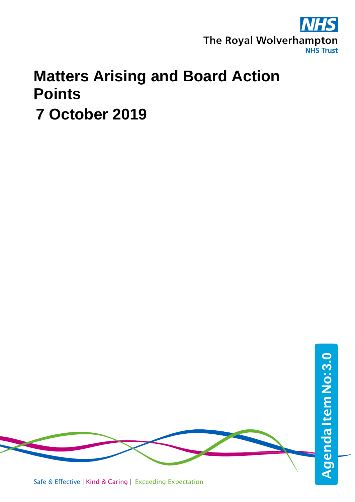

## **Matters Arising and Board Action Points**

**7 October 2019**



Safe & Effective | Kind & Caring | Exceeding Expectation